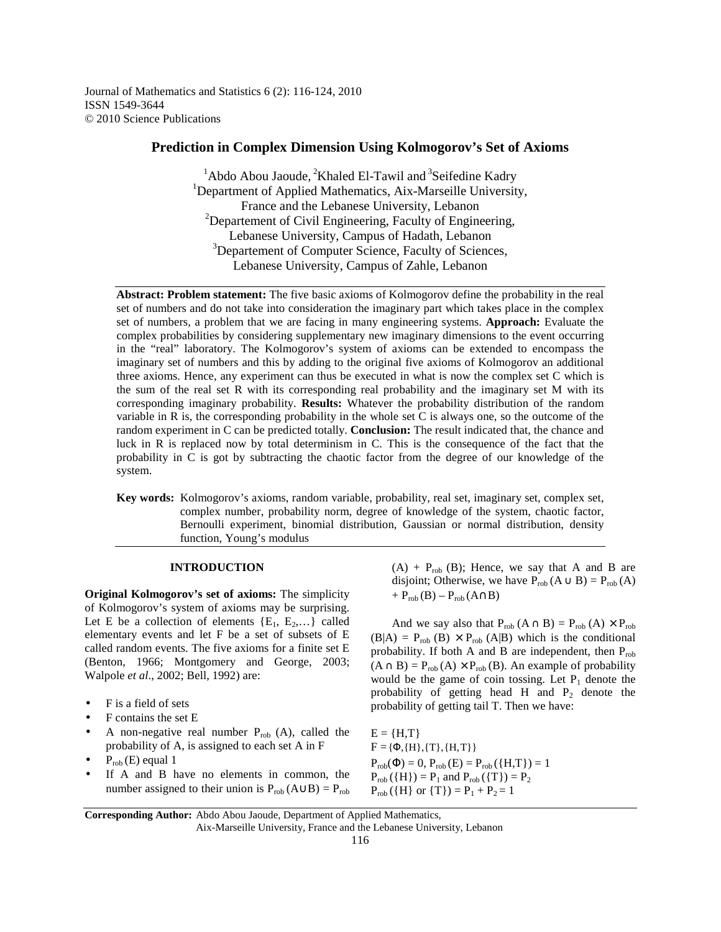Journal of Mathematics and Statistics 6 (2): 116-124, 2010 ISSN 1549-3644 © 2010 Science Publications

# **Prediction in Complex Dimension Using Kolmogorov's Set of Axioms**

<sup>1</sup>Abdo Abou Jaoude, <sup>2</sup>Khaled El-Tawil and <sup>3</sup>Seifedine Kadry <sup>1</sup>Department of Applied Mathematics, Aix-Marseille University, France and the Lebanese University, Lebanon  $2D$ epartement of Civil Engineering, Faculty of Engineering, Lebanese University, Campus of Hadath, Lebanon <sup>3</sup>Departement of Computer Science, Faculty of Sciences, Lebanese University, Campus of Zahle, Lebanon

**Abstract: Problem statement:** The five basic axioms of Kolmogorov define the probability in the real set of numbers and do not take into consideration the imaginary part which takes place in the complex set of numbers, a problem that we are facing in many engineering systems. **Approach:** Evaluate the complex probabilities by considering supplementary new imaginary dimensions to the event occurring in the "real" laboratory. The Kolmogorov's system of axioms can be extended to encompass the imaginary set of numbers and this by adding to the original five axioms of Kolmogorov an additional three axioms. Hence, any experiment can thus be executed in what is now the complex set C which is the sum of the real set R with its corresponding real probability and the imaginary set M with its corresponding imaginary probability. **Results:** Whatever the probability distribution of the random variable in R is, the corresponding probability in the whole set C is always one, so the outcome of the random experiment in C can be predicted totally. **Conclusion:** The result indicated that, the chance and luck in R is replaced now by total determinism in C. This is the consequence of the fact that the probability in C is got by subtracting the chaotic factor from the degree of our knowledge of the system.

**Key words:** Kolmogorov's axioms, random variable, probability, real set, imaginary set, complex set, complex number, probability norm, degree of knowledge of the system, chaotic factor, Bernoulli experiment, binomial distribution, Gaussian or normal distribution, density function, Young's modulus

### **INTRODUCTION**

**Original Kolmogorov's set of axioms:** The simplicity of Kolmogorov's system of axioms may be surprising. Let E be a collection of elements  ${E_1, E_2,...}$  called elementary events and let F be a set of subsets of E called random events. The five axioms for a finite set E (Benton, 1966; Montgomery and George, 2003; Walpole *et al*., 2002; Bell, 1992) are:

- F is a field of sets
- F contains the set E
- A non-negative real number  $P_{\text{rob}}(A)$ , called the probability of A, is assigned to each set A in F
- $P_{\rm rob}$  (E) equal 1
- If A and B have no elements in common, the number assigned to their union is  $P_{\text{rob}}(A \cup B) = P_{\text{rob}}$

 $(A)$  +  $P_{\text{rob}}$  (B); Hence, we say that A and B are disjoint; Otherwise, we have  $P_{\text{rob}}(A \cup B) = P_{\text{rob}}(A)$ +  $P_{\text{rob}}(B) - P_{\text{rob}}(A \cap B)$ 

And we say also that  $P_{\text{rob}}(A \cap B) = P_{\text{rob}}(A) \times P_{\text{rob}}$  $(B|A) = P_{\text{rob}}(B) \times P_{\text{rob}}(A|B)$  which is the conditional probability. If both A and B are independent, then  $P_{\text{rob}}$  $(A \cap B) = P_{\text{rob}}(A) \times P_{\text{rob}}(B)$ . An example of probability would be the game of coin tossing. Let  $P_1$  denote the probability of getting head H and  $P_2$  denote the probability of getting tail T. Then we have:

 $E = {H,T}$  $F = {\Phi, {H}, {T}, {H}, T}$  $P_{\text{rob}}(\Phi) = 0$ ,  $P_{\text{rob}}(E) = P_{\text{rob}}(\{H,T\}) = 1$  $P_{\text{rob}}(\{H\}) = P_1$  and  $P_{\text{rob}}(\{T\}) = P_2$  $P_{\text{rob}}(\{H\} \text{ or } \{T\}) = P_1 + P_2 = 1$ 

Aix-Marseille University, France and the Lebanese University, Lebanon

**Corresponding Author:** Abdo Abou Jaoude, Department of Applied Mathematics,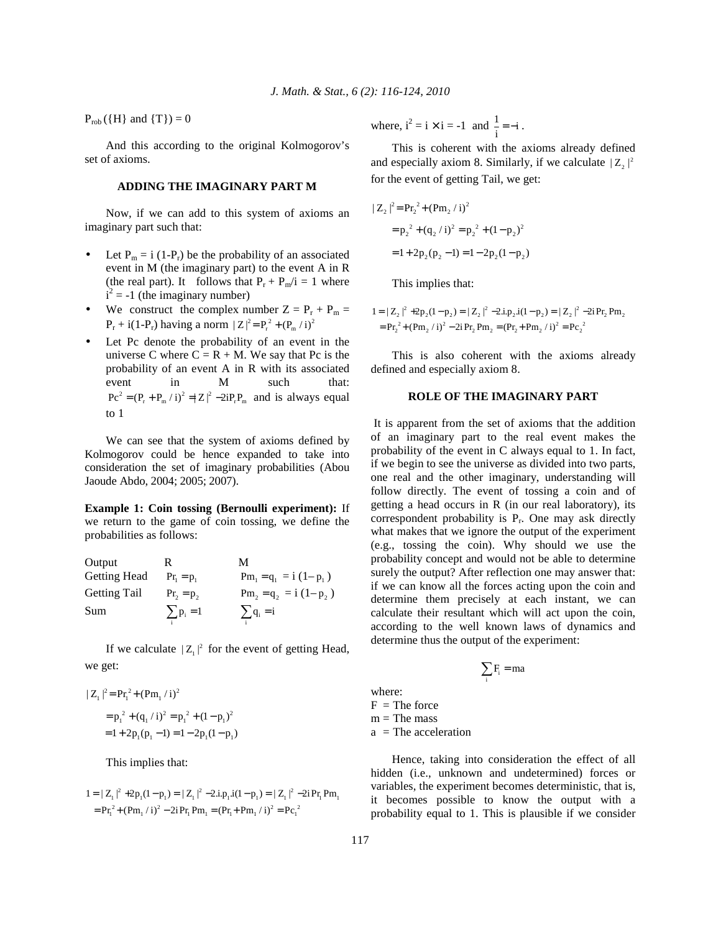$P_{\rm rob}({H} \text{ and } {T}) = 0$ 

 And this according to the original Kolmogorov's set of axioms.

## **ADDING THE IMAGINARY PART M**

 Now, if we can add to this system of axioms an imaginary part such that:

- Let  $P_m = i (1-P_r)$  be the probability of an associated event in M (the imaginary part) to the event A in R (the real part). It follows that  $P_r + P_m/i = 1$  where  $i^2 = -1$  (the imaginary number)
- We construct the complex number  $Z = P_r + P_m =$  $P_r + i(1-P_r)$  having a norm  $|Z|^2 = P_r^2 + (P_m / i)^2$
- Let Pc denote the probability of an event in the universe C where  $C = R + M$ . We say that Pc is the probability of an event A in R with its associated event in M such that:  $Pc^{2} = (P_{r} + P_{m} / i)^{2} = |Z|^{2} - 2iP_{r}P_{m}$  and is always equal to 1

 We can see that the system of axioms defined by Kolmogorov could be hence expanded to take into consideration the set of imaginary probabilities (Abou Jaoude Abdo, 2004; 2005; 2007).

**Example 1: Coin tossing (Bernoulli experiment):** If we return to the game of coin tossing, we define the probabilities as follows:

| Output              | R                        | M                        |
|---------------------|--------------------------|--------------------------|
| Getting Head        | $Pr_i = p_i$             | $Pm_1 = q_1 = i (1-p_1)$ |
| <b>Getting Tail</b> | $Pr_2 = p_2$             | $Pm_2 = q_2 = i(1-p_2)$  |
| Sum                 | $\sum_{i=1}^{n} p_i = 1$ | $\sum q_i = i$           |

If we calculate  $|Z_1|^2$  for the event of getting Head, we get:

$$
|Z_1|^2 = Pr_1^2 + (Pm_1 / i)^2
$$
  
=  $p_1^2 + (q_1 / i)^2 = p_1^2 + (1 - p_1)^2$   
=  $1 + 2p_1(p_1 - 1) = 1 - 2p_1(1 - p_1)$ 

This implies that:

$$
1 = |Z_1|^2 + 2p_1(1 - p_1) = |Z_1|^2 - 2i.p_1i(1 - p_1) = |Z_1|^2 - 2iPr_1 P m_1
$$
  
= Pr<sub>1</sub><sup>2</sup> + (Pm<sub>1</sub> / i)<sup>2</sup> - 2i Pr<sub>1</sub> Pm<sub>1</sub> = (Pr<sub>1</sub> + Pm<sub>1</sub> / i)<sup>2</sup> = Pc<sub>1</sub><sup>2</sup>

where,  $i^2 = i \times i = -1$  and  $\frac{1}{i} = -i$ .

 This is coherent with the axioms already defined and especially axiom 8. Similarly, if we calculate  $|Z_2|^2$ for the event of getting Tail, we get:

$$
|Z_2|^2 = Pr_2^2 + (Pm_2 / i)^2
$$
  
=  $p_2^2 + (q_2 / i)^2 = p_2^2 + (1 - p_2)^2$   
=  $1 + 2p_2(p_2 - 1) = 1 - 2p_2(1 - p_2)$ 

This implies that:

$$
1 = |Z_2|^2 + 2p_2(1 - p_2) = |Z_2|^2 - 2i.p_2i(1 - p_2) = |Z_2|^2 - 2i Pr_2 P m_2
$$
  
= Pr<sub>2</sub><sup>2</sup> + (Pm<sub>2</sub>/i)<sup>2</sup> - 2i Pr<sub>2</sub>Pm<sub>2</sub> = (Pr<sub>2</sub> + Pm<sub>2</sub>/i)<sup>2</sup> = Pe<sub>2</sub><sup>2</sup>

 This is also coherent with the axioms already defined and especially axiom 8.

### **ROLE OF THE IMAGINARY PART**

It is apparent from the set of axioms that the addition of an imaginary part to the real event makes the probability of the event in C always equal to 1. In fact, if we begin to see the universe as divided into two parts, one real and the other imaginary, understanding will follow directly. The event of tossing a coin and of getting a head occurs in R (in our real laboratory), its correspondent probability is  $P_r$ . One may ask directly what makes that we ignore the output of the experiment (e.g., tossing the coin). Why should we use the probability concept and would not be able to determine surely the output? After reflection one may answer that: if we can know all the forces acting upon the coin and determine them precisely at each instant, we can calculate their resultant which will act upon the coin, according to the well known laws of dynamics and determine thus the output of the experiment:

$$
\sum_i F_i = m a \,
$$

where:  $F =$ The force  $m =$ The mass  $a =$ The acceleration

 Hence, taking into consideration the effect of all hidden (i.e., unknown and undetermined) forces or variables, the experiment becomes deterministic, that is, it becomes possible to know the output with a probability equal to 1. This is plausible if we consider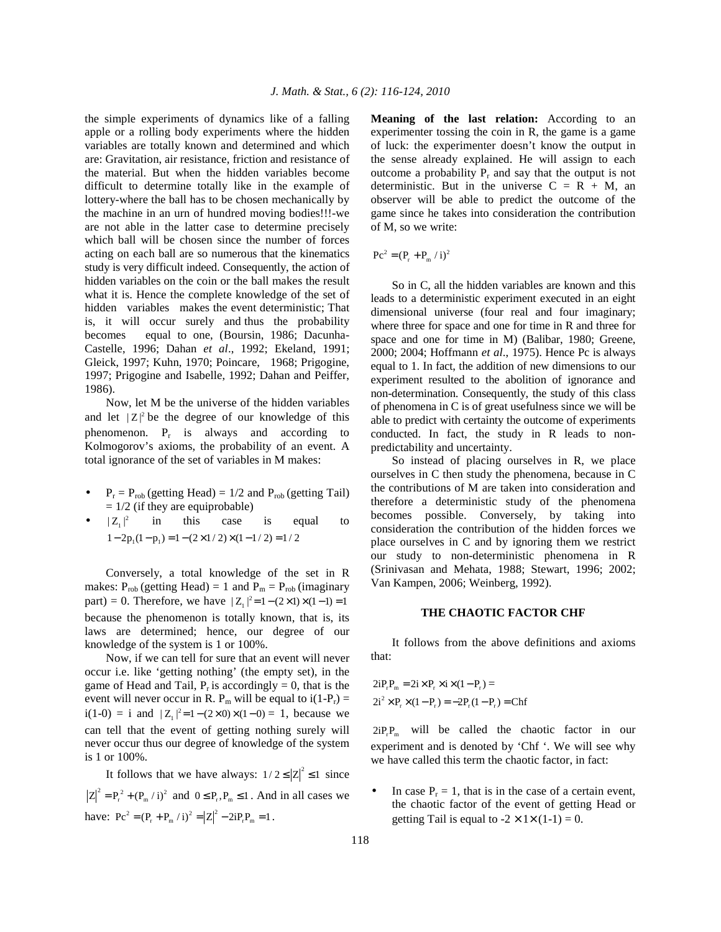the simple experiments of dynamics like of a falling apple or a rolling body experiments where the hidden variables are totally known and determined and which are: Gravitation, air resistance, friction and resistance of the material. But when the hidden variables become difficult to determine totally like in the example of lottery-where the ball has to be chosen mechanically by the machine in an urn of hundred moving bodies!!!-we are not able in the latter case to determine precisely which ball will be chosen since the number of forces acting on each ball are so numerous that the kinematics study is very difficult indeed. Consequently, the action of hidden variables on the coin or the ball makes the result what it is. Hence the complete knowledge of the set of hidden variables makes the event deterministic; That is, it will occur surely and thus the probability becomes equal to one, (Boursin, 1986; Dacunha-Castelle, 1996; Dahan *et al*., 1992; Ekeland, 1991; Gleick, 1997; Kuhn, 1970; Poincare, 1968; Prigogine, 1997; Prigogine and Isabelle, 1992; Dahan and Peiffer, 1986).

 Now, let M be the universe of the hidden variables and let  $|Z|^2$  be the degree of our knowledge of this phenomenon.  $P_r$  is always and according to Kolmogorov's axioms, the probability of an event. A total ignorance of the set of variables in M makes:

- $P_r = P_{rob}$  (getting Head) = 1/2 and  $P_{rob}$  (getting Tail)  $= 1/2$  (if they are equiprobable)
- $\frac{1}{1}$   $\Big|^{2}$  $|Z_1|^2$  in this case is equal to  $1 - 2p_1(1 - p_1) = 1 - (2 \times 1/2) \times (1 - 1/2) = 1/2$

 Conversely, a total knowledge of the set in R makes:  $P_{\text{rob}}$  (getting Head) = 1 and  $P_{\text{m}} = P_{\text{rob}}$  (imaginary part) = 0. Therefore, we have  $|Z_1|^2 = 1 - (2 \times 1) \times (1 - 1) = 1$ because the phenomenon is totally known, that is, its laws are determined; hence, our degree of our knowledge of the system is 1 or 100%.

 Now, if we can tell for sure that an event will never occur i.e. like 'getting nothing' (the empty set), in the game of Head and Tail,  $P_r$  is accordingly = 0, that is the event will never occur in R.  $P_m$  will be equal to  $i(1-P_r)$  =  $i(1-0) = i$  and  $|Z_1|^2 = 1 - (2 \times 0) \times (1-0) = 1$ , because we can tell that the event of getting nothing surely will never occur thus our degree of knowledge of the system is 1 or 100%.

It follows that we have always:  $1/2 \le |Z|^2 \le 1$  since  $|Z|^2 = P_r^2 + (P_m / i)^2$  and  $0 \le P_r, P_m \le 1$ . And in all cases we have:  $Pc^{2} = (P_{r} + P_{m} / i)^{2} = |Z|^{2} - 2iP_{r}P_{m} = 1$ .

**Meaning of the last relation:** According to an experimenter tossing the coin in R, the game is a game of luck: the experimenter doesn't know the output in the sense already explained. He will assign to each outcome a probability  $P_r$  and say that the output is not deterministic. But in the universe  $C = R + M$ , an observer will be able to predict the outcome of the game since he takes into consideration the contribution of M, so we write:

 $Pc^{2} = (P_{+} + P_{-}/i)^{2}$ 

 So in C, all the hidden variables are known and this leads to a deterministic experiment executed in an eight dimensional universe (four real and four imaginary; where three for space and one for time in R and three for space and one for time in M) (Balibar, 1980; Greene, 2000; 2004; Hoffmann *et al*., 1975). Hence Pc is always equal to 1. In fact, the addition of new dimensions to our experiment resulted to the abolition of ignorance and non-determination. Consequently, the study of this class of phenomena in C is of great usefulness since we will be able to predict with certainty the outcome of experiments conducted. In fact, the study in R leads to nonpredictability and uncertainty.

 So instead of placing ourselves in R, we place ourselves in C then study the phenomena, because in C the contributions of M are taken into consideration and therefore a deterministic study of the phenomena becomes possible. Conversely, by taking into consideration the contribution of the hidden forces we place ourselves in C and by ignoring them we restrict our study to non-deterministic phenomena in R (Srinivasan and Mehata, 1988; Stewart, 1996; 2002; Van Kampen, 2006; Weinberg, 1992).

### **THE CHAOTIC FACTOR CHF**

 It follows from the above definitions and axioms that:

$$
2iP_rP_m = 2i \times P_r \times i \times (1 - P_r) =
$$
  

$$
2i^2 \times P_r \times (1 - P_r) = -2P_r(1 - P_r) = Chf
$$

 $2iP_r P_m$  will be called the chaotic factor in our experiment and is denoted by 'Chf '. We will see why we have called this term the chaotic factor, in fact:

• In case  $P_r = 1$ , that is in the case of a certain event, the chaotic factor of the event of getting Head or getting Tail is equal to  $-2 \times 1 \times (1-1) = 0$ .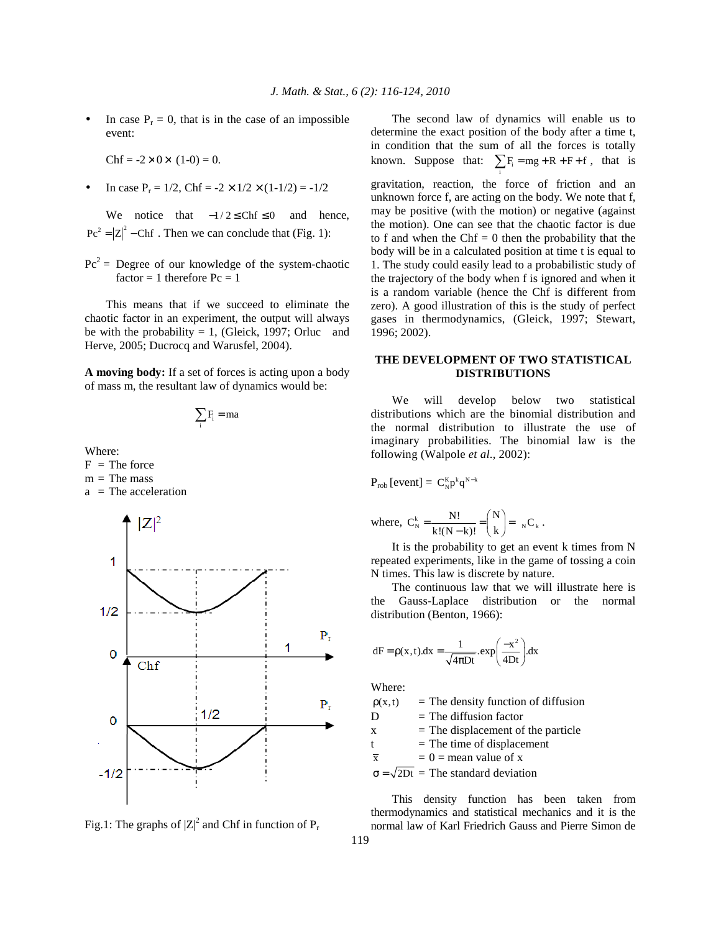• In case  $P_r = 0$ , that is in the case of an impossible event:

 $Chf = -2 \times 0 \times (1-0) = 0.$ 

• In case  $P_r = 1/2$ , Chf =  $-2 \times 1/2 \times (1-1/2) = -1/2$ 

We notice that  $-1/2 \leq C$ hf  $\leq 0$  and hence,  $Pc^2 = |Z|^2 - Chf$ . Then we can conclude that (Fig. 1):

 $Pc<sup>2</sup> =$  Degree of our knowledge of the system-chaotic factor = 1 therefore  $Pc = 1$ 

 This means that if we succeed to eliminate the chaotic factor in an experiment, the output will always be with the probability  $= 1$ , (Gleick, 1997; Orluc and Herve, 2005; Ducrocq and Warusfel, 2004).

**A moving body:** If a set of forces is acting upon a body of mass m, the resultant law of dynamics would be:

$$
\sum_i F_i = ma
$$

Where:

 $F =$ The force

 $m =$ The mass

 $a =$ The acceleration



Fig.1: The graphs of  $|Z|^2$  and Chf in function of  $P_r$ 

 The second law of dynamics will enable us to determine the exact position of the body after a time t, in condition that the sum of all the forces is totally known. Suppose that:  $\sum F_i = mg + R + F + f$ , that is i gravitation, reaction, the force of friction and an unknown force f, are acting on the body. We note that f, may be positive (with the motion) or negative (against the motion). One can see that the chaotic factor is due to f and when the Chf  $= 0$  then the probability that the body will be in a calculated position at time t is equal to 1. The study could easily lead to a probabilistic study of the trajectory of the body when f is ignored and when it is a random variable (hence the Chf is different from zero). A good illustration of this is the study of perfect gases in thermodynamics, (Gleick, 1997; Stewart, 1996; 2002).

## **THE DEVELOPMENT OF TWO STATISTICAL DISTRIBUTIONS**

 We will develop below two statistical distributions which are the binomial distribution and the normal distribution to illustrate the use of imaginary probabilities. The binomial law is the following (Walpole *et al*., 2002):

$$
P_{\rm rob} \, [\text{event}] = C_N^K p^k q^{N-k}
$$

where, 
$$
C_N^k = \frac{N!}{k!(N-k)!} = \binom{N}{k} = {}_N C_k
$$
.

 It is the probability to get an event k times from N repeated experiments, like in the game of tossing a coin N times. This law is discrete by nature.

 The continuous law that we will illustrate here is the Gauss-Laplace distribution or the normal distribution (Benton, 1966):

$$
dF = \rho(x, t).dx = \frac{1}{\sqrt{4\pi Dt}} \cdot \exp\left(\frac{-x^2}{4Dt}\right) dx
$$

Where:

 $\rho(x,t)$  = The density function of diffusion

 $D =$ The diffusion factor

 $x =$  The displacement of the particle

 $t =$ The time of displacement

 $\bar{x}$  = 0 = mean value of x

 $\sigma = \sqrt{2Dt}$  = The standard deviation

 This density function has been taken from thermodynamics and statistical mechanics and it is the normal law of Karl Friedrich Gauss and Pierre Simon de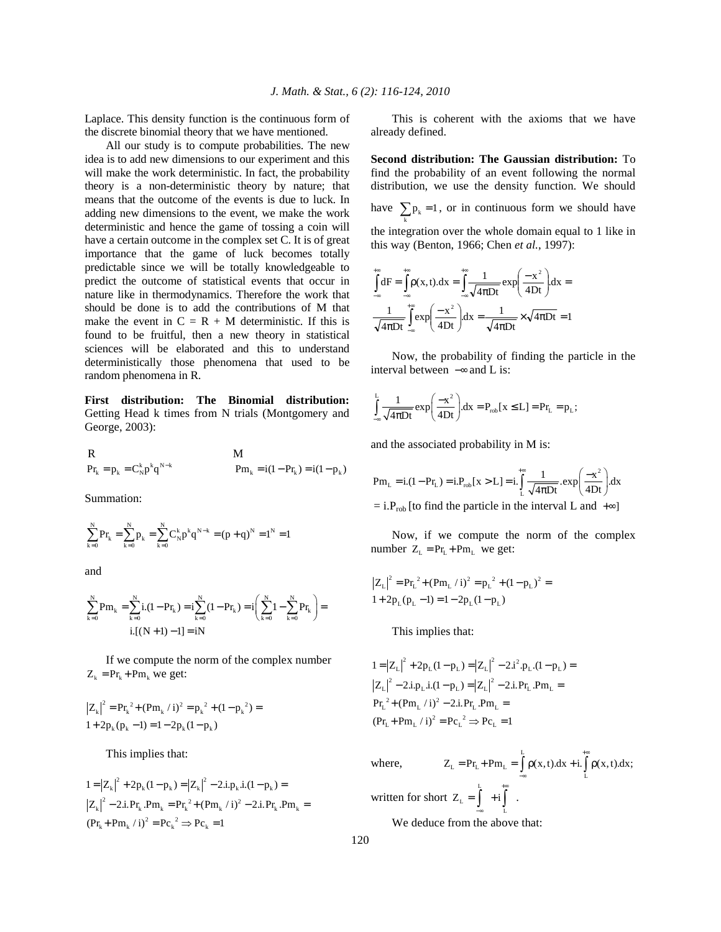Laplace. This density function is the continuous form of the discrete binomial theory that we have mentioned.

 All our study is to compute probabilities. The new idea is to add new dimensions to our experiment and this will make the work deterministic. In fact, the probability theory is a non-deterministic theory by nature; that means that the outcome of the events is due to luck. In adding new dimensions to the event, we make the work deterministic and hence the game of tossing a coin will have a certain outcome in the complex set C. It is of great importance that the game of luck becomes totally predictable since we will be totally knowledgeable to predict the outcome of statistical events that occur in nature like in thermodynamics. Therefore the work that should be done is to add the contributions of M that make the event in  $C = R + M$  deterministic. If this is found to be fruitful, then a new theory in statistical sciences will be elaborated and this to understand deterministically those phenomena that used to be random phenomena in R.

**First distribution: The Binomial distribution:** Getting Head k times from N trials (Montgomery and George, 2003):

R  
\n
$$
P_{r_k} = p_k = C_N^k p^k q^{N-k}
$$
\n
$$
P_{m_k} = i(1 - P_{r_k}) = i(1 - p_k)
$$

Summation:

$$
\sum_{k=0}^N Pr_k = \sum_{k=0}^N p_k = \sum_{k=0}^N C_N^k p^k q^{N-k} = (p+q)^N = 1^N = 1
$$

and

$$
\sum_{k=0}^N P m_k = \sum_{k=0}^N i.(1-P r_k) = i \sum_{k=0}^N (1-P r_k) = i \bigg( \sum_{k=0}^N 1 - \sum_{k=0}^N P r_k \bigg) =
$$
  

$$
i.[(N+1)-1] = iN
$$

 If we compute the norm of the complex number  $Z_k = Pr_k + Pm_k$  we get:

$$
|Z_{k}|^{2} = Pr_{k}^{2} + (Pm_{k} / i)^{2} = p_{k}^{2} + (1 - p_{k}^{2}) = 1 + 2p_{k}(p_{k} - 1) = 1 - 2p_{k}(1 - p_{k})
$$

This implies that:

 $1 = |Z_k|^2 + 2p_k(1 - p_k) = |Z_k|^2 - 2.i.p_k.i.(1 - p_k) =$  $Z_k \vert^2 - 2 \text{i} P r_k P m_k = P r_k^2 + (P m_k / i)^2 - 2 \text{i} P r_k P m_k =$  $(Pr_k + Pm_k / i)^2 = Pc_k^2 \Rightarrow Pc_k = 1$ 

 This is coherent with the axioms that we have already defined.

**Second distribution: The Gaussian distribution:** To find the probability of an event following the normal distribution, we use the density function. We should

have  $\sum p_k = 1$ , or in continuous form we should have k the integration over the whole domain equal to 1 like in this way (Benton, 1966; Chen *et al.*, 1997):

$$
\int_{-\infty}^{+\infty} dF = \int_{-\infty}^{+\infty} \rho(x, t) dx = \int_{-\infty}^{+\infty} \frac{1}{\sqrt{4\pi Dt}} \exp\left(\frac{-x^2}{4Dt}\right) dx = \frac{1}{\sqrt{4\pi Dt}} \int_{-\infty}^{+\infty} \exp\left(\frac{-x^2}{4Dt}\right) dx = \frac{1}{\sqrt{4\pi Dt}} \times \sqrt{4\pi Dt} = 1
$$

 Now, the probability of finding the particle in the interval between −∞ and L is:

$$
\int\limits_{-\infty}^{L}\frac{1}{\sqrt{4\pi Dt}}\exp\Biggl(\frac{-x^2}{4Dt}\Biggr)dx=P_{\rm rob}\bigl[\,x\leq L\,\bigr]=P_{I_L}=p_{L}\,;
$$

and the associated probability in M is:

$$
Pm_{L} = i.(1 - Pr_{L}) = i.P_{rob}[x > L] = i.\int_{L}^{+\infty} \frac{1}{\sqrt{4\pi Dt}} \cdot \exp\left(\frac{-x^{2}}{4Dt}\right) dx
$$
  
= i.P\_{rob} [to find the particle in the interval L and +∞]

 Now, if we compute the norm of the complex number  $Z_L = Pr_L + Pm_L$  we get:

$$
|Z_{L}|^{2} = Pr_{L}^{2} + (Pm_{L}/i)^{2} = p_{L}^{2} + (1 - p_{L})^{2} = 1 + 2p_{L}(p_{L} - 1) = 1 - 2p_{L}(1 - p_{L})
$$

This implies that:

$$
1 = |Z_L|^2 + 2p_L(1 - p_L) = |Z_L|^2 - 2i^2 \cdot p_L \cdot (1 - p_L) =
$$
  
\n
$$
|Z_L|^2 - 2i \cdot p_L \cdot i \cdot (1 - p_L) = |Z_L|^2 - 2i \cdot Pr_L \cdot Pm_L =
$$
  
\n
$$
Pr_L^2 + (Pm_L / i)^2 - 2i \cdot Pr_L \cdot Pm_L =
$$
  
\n
$$
(Pr_L + Pm_L / i)^2 = Pe_L^2 \Rightarrow Pe_L = 1
$$

where,  
\n
$$
Z_{L} = Pr_{L} + Pm_{L} = \int_{-\infty}^{L} \rho(x, t) dx + i \int_{L}^{+\infty} \rho(x, t) dx;
$$
\nwritten for short  $Z_{L} = \int_{-\infty}^{L} + i \int_{L}^{+\infty}$ .  
\nWe deduce from the above that:

120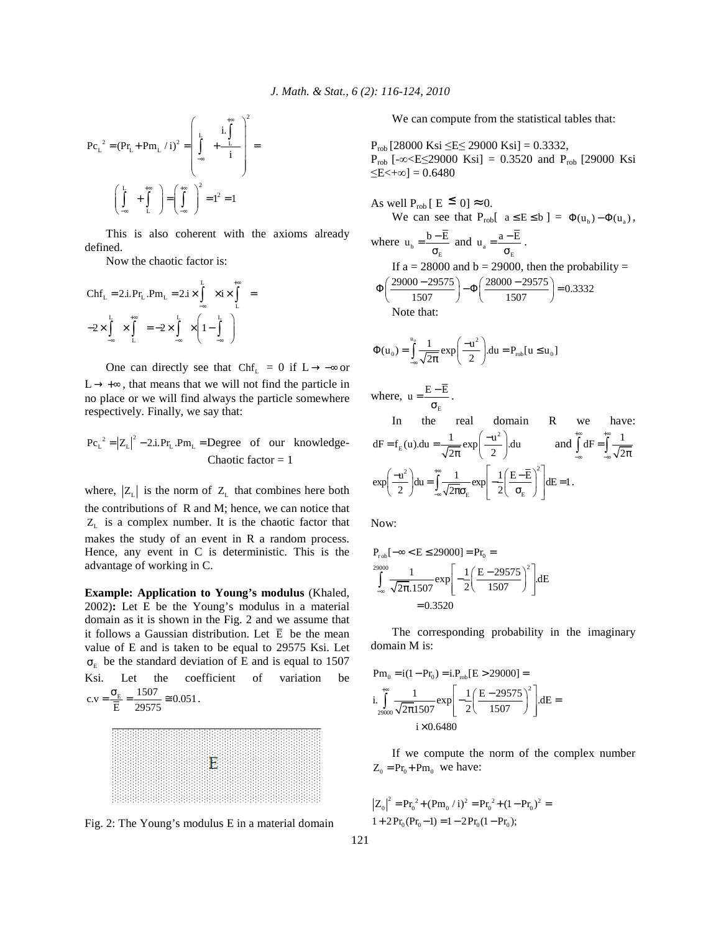$$
Pc_L^2 = (Pr_L + Pm_L / i)^2 = \left(\int_{-\infty}^{L} \frac{i \int_{-\infty}^{+\infty}}{i} \right)^2 =
$$

$$
\left(\int_{-\infty}^{L} + \int_{L}^{+\infty} \right) = \left(\int_{-\infty}^{+\infty} \right)^2 = 1^2 = 1
$$

 This is also coherent with the axioms already defined.

Now the chaotic factor is:

$$
Chf_{L} = 2 \text{.} Pr_{L}. Pm_{L} = 2 \text{.} i \times \int_{-\infty}^{L} \times i \times \int_{L}^{+\infty} = -2 \times \int_{L}^{L} \times \int_{-\infty}^{+\infty} = -2 \times \int_{-\infty}^{L} \times \left(1 - \int_{-\infty}^{L}\right)
$$

One can directly see that  $\text{Chf}_{\text{L}} = 0$  if  $\text{L} \rightarrow -\infty$  or  $L \rightarrow +\infty$ , that means that we will not find the particle in no place or we will find always the particle somewhere respectively. Finally, we say that:

 $Pc_L^2 = |Z_L|^2 - 2i.Pr_L.Pm_L =$ Degree of our knowledge-Chaotic factor  $= 1$ 

where,  $|Z_L|$  is the norm of  $Z_L$  that combines here both the contributions of R and M; hence, we can notice that  $Z_L$  is a complex number. It is the chaotic factor that makes the study of an event in R a random process. Hence, any event in C is deterministic. This is the advantage of working in C.

**Example: Application to Young's modulus** (Khaled, 2002)**:** Let E be the Young's modulus in a material domain as it is shown in the Fig. 2 and we assume that it follows a Gaussian distribution. Let  $\overline{E}$  be the mean value of E and is taken to be equal to 29575 Ksi. Let  $\sigma_{\rm E}$  be the standard deviation of E and is equal to 1507 Ksi. Let the coefficient of variation be  $c.v = \frac{\sigma_E}{\bar{E}} = \frac{1507}{29575} \approx 0.051$  $=\frac{\sigma_{\rm E}}{\sqrt{2}} = \frac{1507}{20.557} \approx 0.051$ .



Fig. 2: The Young's modulus E in a material domain

We can compute from the statistical tables that:

P<sub>rob</sub> [28000 Ksi ≤E≤ 29000 Ksi] = 0.3332,  $P_{\text{rob}}$  [-∞<E≤29000 Ksi] = 0.3520 and  $P_{\text{rob}}$  [29000 Ksi  $\le E$ <+∞] = 0.6480

As well P<sub>rob</sub> [ E 
$$
\leq 0
$$
]  $\approx 0$ .  
\nWe can see that P<sub>rob</sub>[ a  $\leq E \leq b$  ] =  $\Phi(u_b) - \Phi(u_a)$ ,  
\nwhere  $u_b = \frac{b - \overline{E}}{\sigma_E}$  and  $u_a = \frac{a - \overline{E}}{\sigma_E}$ .  
\nIf a = 28000 and b = 29000, then the probability =  
\n $\Phi\left(\frac{29000 - 29575}{1507}\right) - \Phi\left(\frac{28000 - 29575}{1507}\right) = 0.3332$   
\nNote that:

$$
\Phi(u_0) = \int_{-\infty}^{u_0} \frac{1}{\sqrt{2\pi}} \exp\left(\frac{-u^2}{2}\right) du = P_{\text{rob}}[u \le u_0]
$$

where, E  $u = \frac{E - E}{\sigma_E}.$ 

In the real domain R we have:  
\n
$$
dF = f_E(u).du = \frac{1}{\sqrt{2\pi}} exp\left(\frac{-u^2}{2}\right).du \qquad and \int_{-\infty}^{+\infty} dF = \int_{-\infty}^{+\infty} \frac{1}{\sqrt{2\pi}} exp\left(\frac{-u^2}{2}\right) du = \int_{-\infty}^{+\infty} \frac{1}{\sqrt{2\pi}\sigma_E} exp\left(\frac{-1}{2}\left(\frac{E - \overline{E}}{\sigma_E}\right)^2\right) dE = 1.
$$

Now:

$$
P_{\text{rob}}[-\infty < E \le 29000] = Pr_0 =
$$
  

$$
\int_{-\infty}^{29000} \frac{1}{\sqrt{2\pi}.1507} exp\left[-\frac{1}{2}\left(\frac{E - 29575}{1507}\right)^2\right] dE
$$
  
= 0.3520

 The corresponding probability in the imaginary domain M is:

$$
Pm_0 = i(1 - Pr_0) = i.P_{rob}[E > 29000] =
$$
  
i. 
$$
\int_{29000}^{+\infty} \frac{1}{\sqrt{2\pi}1507} exp\left[-\frac{1}{2}\left(\frac{E - 29575}{1507}\right)^2\right] dE =
$$
  
i × 0.6480

 If we compute the norm of the complex number  $Z_0 = Pr_0 + Pm_0$  we have:

$$
|Z_0|^2 = Pr_0^2 + (Pm_0 / i)^2 = Pr_0^2 + (1 - Pr_0)^2 = 1 + 2Pr_0(Pr_0 - 1) = 1 - 2Pr_0(1 - Pr_0);
$$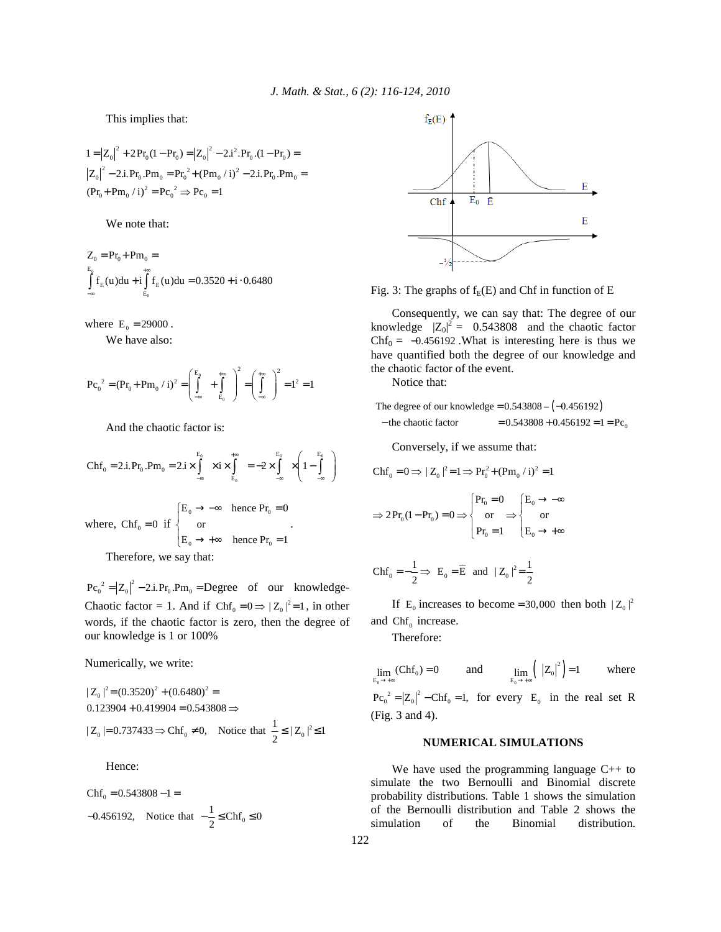This implies that:

$$
1 = |Z_0|^2 + 2Pr_0(1 - Pr_0) = |Z_0|^2 - 2\mathbf{i}^2 \cdot Pr_0 \cdot (1 - Pr_0) =
$$
  

$$
|Z_0|^2 - 2\mathbf{i} \cdot Pr_0 \cdot Pm_0 = Pr_0^2 + (Pm_0 / i)^2 - 2\mathbf{i} \cdot Pr_0 \cdot Pm_0 =
$$
  

$$
(Pr_0 + Pm_0 / i)^2 = Pe_0^2 \Rightarrow Pe_0 = 1
$$

We note that:

$$
Z_0 = Pr_0 + Pm_0 =
$$
  

$$
\int_{-\infty}^{E_0} f_E(u) du + i \int_{E_0}^{+\infty} f_E(u) du = 0.3520 + i \cdot 0.6480
$$

where  $E_0 = 29000$ .

We have also:

$$
{Pc_0}^2 = (Pr_0 + Pm_0 / i)^2 = \left(\int_{-\infty}^{E_0} + \int_{E_0}^{+\infty} \right)^2 = \left(\int_{-\infty}^{+\infty} \right)^2 = 1^2 = 1
$$

And the chaotic factor is:

$$
\begin{aligned}\n\text{Chf}_0 &= 2 \text{.i.} \text{Pr}_0 \cdot \text{Pm}_0 = 2 \text{.i.} \times \int_{-\infty}^{E_0} \times i \times \int_{E_0}^{+\infty} = -2 \times \int_{-\infty}^{E_0} \times \left(1 - \int_{-\infty}^{E_0}\right) \\
\text{where, } \text{Chf}_0 &= 0 \quad \text{if} \quad \begin{cases} E_0 \to -\infty & \text{hence } Pr_0 = 0 \\ \text{or} \\ E_0 \to +\infty & \text{hence } Pr_0 = 1 \end{cases} \\
\text{Therefore, we say that:}\n\end{aligned}
$$

 $Pc_0^2 = |Z_0|^2 - 2i.Pr_0.Pm_0 = \text{Degree}$  of our knowledge-Chaotic factor = 1. And if  $\text{Chf}_0 = 0 \Rightarrow |Z_0|^2 = 1$ , in other words, if the chaotic factor is zero, then the degree of our knowledge is 1 or 100%

Numerically, we write:

$$
|Z_0|^2 = (0.3520)^2 + (0.6480)^2 =
$$
  
0.123904 + 0.419904 = 0.543808  $\Rightarrow$   

$$
|Z_0| = 0.737433 \Rightarrow \text{Chf}_0 \neq 0, \text{ Notice that } \frac{1}{2} \leq |Z_0|^2 \leq 1
$$

Hence:

Chf<sub>0</sub> = 0.543808 − 1 =  
−0.456192, Notice that 
$$
-\frac{1}{2} \le Chf_0 \le 0
$$



Fig. 3: The graphs of  $f_E(E)$  and Chf in function of E

 Consequently, we can say that: The degree of our knowledge  $|Z_0|^2 = 0.543808$  and the chaotic factor Chf<sub>0</sub> =  $-0.456192$ . What is interesting here is thus we have quantified both the degree of our knowledge and the chaotic factor of the event.

Notice that:

The degree of our knowledge =  $0.543808 - (-0.456192)$ - the chaotic factor  $= 0.543808 + 0.456192 = 1 = Pe_0$ 

Conversely, if we assume that:

Chf<sub>0</sub> = 0 ⇒ 
$$
|Z_0|^2 = 1
$$
 ⇒ Pr<sub>0</sub><sup>2</sup> + (Pm<sub>0</sub> / i)<sup>2</sup> = 1

$$
\Rightarrow 2Pr_0(1 - Pr_0) = 0 \Rightarrow \begin{cases} Pr_0 = 0 & \text{if } E_0 \to -\infty \\ \text{or} & \text{if } E_0 \to +\infty \\ Pr_0 = 1 & \text{if } E_0 \to +\infty \end{cases}
$$

$$
Chf_0 = -\frac{1}{2} \Rightarrow E_0 = \overline{E} \text{ and } |Z_0|^2 = \frac{1}{2}
$$

If E<sub>0</sub> increases to become = 30,000 then both  $|Z_0|^2$ and  $Chf_0$  increase.

Therefore:

 $\lim_{E_0 \to +\infty}$  (Chf<sub>0</sub>) = 0  $= 0$  and  $\lim_{E_0 \to \infty} ( |Z_0|^2 )$  $\lim_{E_0 \to +\infty} \left( \left| Z_0 \right|^2 \right) = 1$ where  $Pc_0^2 = |Z_0|^2 - \text{Chf}_0 = 1$ , for every  $E_0$  in the real set R (Fig. 3 and 4).

### **NUMERICAL SIMULATIONS**

 We have used the programming language C++ to simulate the two Bernoulli and Binomial discrete probability distributions. Table 1 shows the simulation of the Bernoulli distribution and Table 2 shows the simulation of the Binomial distribution.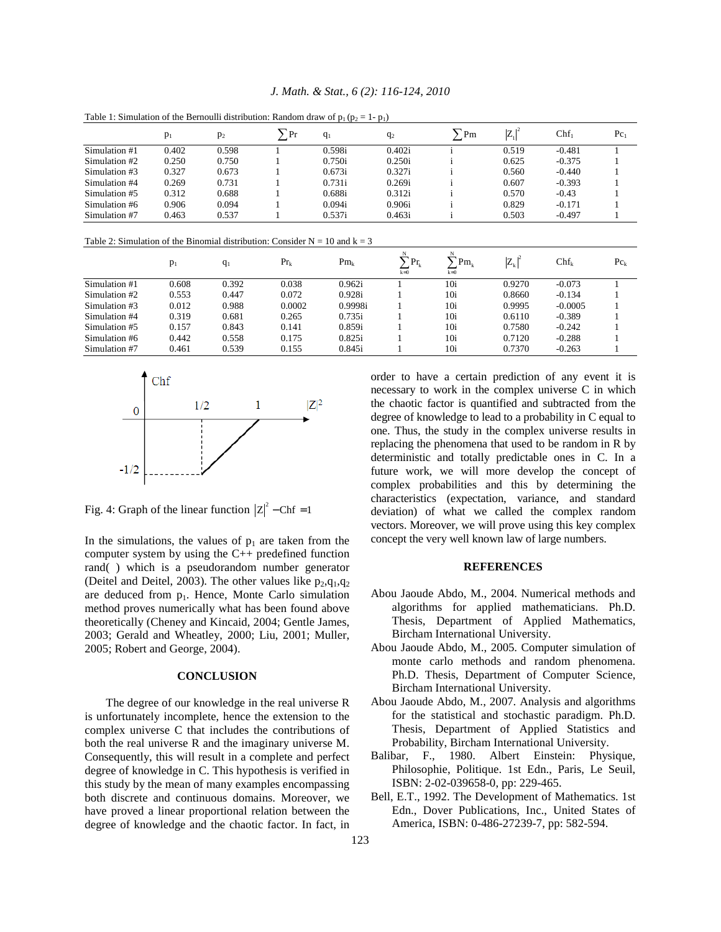|               | $p_1$ | p <sub>2</sub> | $^{\circ}$ Pr | $q_1$  | $q_2$  | $\nabla$ Pm | IZ,   | $Chf_1$  | $P_{C_1}$ |
|---------------|-------|----------------|---------------|--------|--------|-------------|-------|----------|-----------|
| Simulation #1 | 0.402 | 0.598          |               | 0.598i | 0.402i |             | 0.519 | $-0.481$ |           |
| Simulation #2 | 0.250 | 0.750          |               | 0.750i | 0.250i |             | 0.625 | $-0.375$ |           |
| Simulation #3 | 0.327 | 0.673          |               | 0.673i | 0.327i |             | 0.560 | $-0.440$ |           |
| Simulation #4 | 0.269 | 0.731          |               | 0.731i | 0.269i |             | 0.607 | $-0.393$ |           |
| Simulation #5 | 0.312 | 0.688          |               | 0.688i | 0.312i |             | 0.570 | $-0.43$  |           |
| Simulation #6 | 0.906 | 0.094          |               | 0.094i | 0.906i |             | 0.829 | $-0.171$ |           |
| Simulation #7 | 0.463 | 0.537          |               | 0.537i | 0.463i |             | 0.503 | $-0.497$ |           |

Table 1: Simulation of the Bernoulli distribution: Random draw of  $p_1 (p_2 = 1-p_1)$ 

Table 2: Simulation of the Binomial distribution: Consider  $N = 10$  and  $k = 3$ 

|               | $p_1$ | $q_1$ | $Pr_{k}$ | $\rm{Pm}_{k}$ | $Pr_{\nu}$<br>$k=0$ | $Pm_{\nu}$<br>$k=0$ | $Z_k$  | $Chf_k$   | $P_{C_k}$ |
|---------------|-------|-------|----------|---------------|---------------------|---------------------|--------|-----------|-----------|
| Simulation #1 | 0.608 | 0.392 | 0.038    | 0.962i        |                     | 10i                 | 0.9270 | $-0.073$  |           |
| Simulation #2 | 0.553 | 0.447 | 0.072    | 0.928i        |                     | 10i                 | 0.8660 | $-0.134$  |           |
| Simulation #3 | 0.012 | 0.988 | 0.0002   | 0.9998i       |                     | 10i                 | 0.9995 | $-0.0005$ |           |
| Simulation #4 | 0.319 | 0.681 | 0.265    | 0.735i        |                     | 10i                 | 0.6110 | $-0.389$  |           |
| Simulation #5 | 0.157 | 0.843 | 0.141    | 0.859i        |                     | 10i                 | 0.7580 | $-0.242$  |           |
| Simulation #6 | 0.442 | 0.558 | 0.175    | 0.825i        |                     | 10i                 | 0.7120 | $-0.288$  |           |
| Simulation #7 | 0.461 | 0.539 | 0.155    | 0.845i        |                     | 10i                 | 0.7370 | $-0.263$  |           |



Fig. 4: Graph of the linear function  $|Z|^2$  – Chf = 1

In the simulations, the values of  $p_1$  are taken from the computer system by using the C++ predefined function rand( ) which is a pseudorandom number generator (Deitel and Deitel, 2003). The other values like  $p_2, q_1, q_2$ are deduced from  $p_1$ . Hence, Monte Carlo simulation method proves numerically what has been found above theoretically (Cheney and Kincaid, 2004; Gentle James, 2003; Gerald and Wheatley, 2000; Liu, 2001; Muller, 2005; Robert and George, 2004).

#### **CONCLUSION**

 The degree of our knowledge in the real universe R is unfortunately incomplete, hence the extension to the complex universe C that includes the contributions of both the real universe R and the imaginary universe M. Consequently, this will result in a complete and perfect degree of knowledge in C. This hypothesis is verified in this study by the mean of many examples encompassing both discrete and continuous domains. Moreover, we have proved a linear proportional relation between the degree of knowledge and the chaotic factor. In fact, in

order to have a certain prediction of any event it is necessary to work in the complex universe C in which the chaotic factor is quantified and subtracted from the degree of knowledge to lead to a probability in C equal to one. Thus, the study in the complex universe results in replacing the phenomena that used to be random in R by deterministic and totally predictable ones in C. In a future work, we will more develop the concept of complex probabilities and this by determining the characteristics (expectation, variance, and standard deviation) of what we called the complex random vectors. Moreover, we will prove using this key complex concept the very well known law of large numbers.

#### **REFERENCES**

- Abou Jaoude Abdo, M., 2004. Numerical methods and algorithms for applied mathematicians. Ph.D. Thesis, Department of Applied Mathematics, Bircham International University.
- Abou Jaoude Abdo, M., 2005. Computer simulation of monte carlo methods and random phenomena. Ph.D. Thesis, Department of Computer Science, Bircham International University.
- Abou Jaoude Abdo, M., 2007. Analysis and algorithms for the statistical and stochastic paradigm. Ph.D. Thesis, Department of Applied Statistics and Probability, Bircham International University.
- Balibar, F., 1980. Albert Einstein: Physique, Philosophie, Politique. 1st Edn., Paris, Le Seuil, ISBN: 2-02-039658-0, pp: 229-465.
- Bell, E.T., 1992. The Development of Mathematics. 1st Edn., Dover Publications, Inc., United States of America, ISBN: 0-486-27239-7, pp: 582-594.